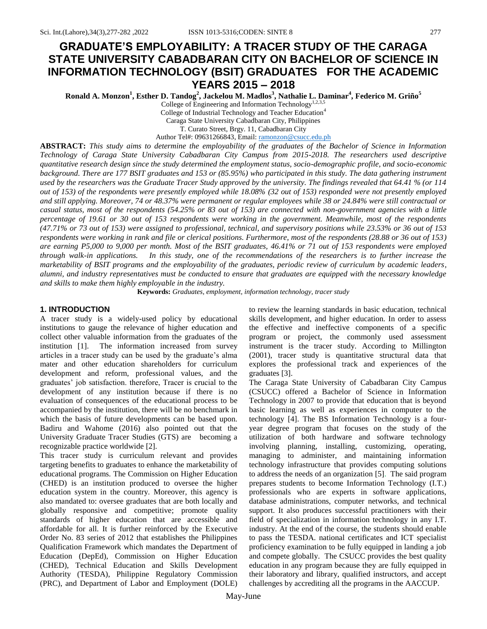# **GRADUATE'S EMPLOYABILITY: A TRACER STUDY OF THE CARAGA STATE UNIVERSITY CABADBARAN CITY ON BACHELOR OF SCIENCE IN INFORMATION TECHNOLOGY (BSIT) GRADUATES FOR THE ACADEMIC YEARS 2015 – 2018**

**Ronald A. Monzon<sup>1</sup> , Esther D. Tandog<sup>2</sup> , Jackelou M. Madlos<sup>3</sup> , Nathalie L. Daminar<sup>4</sup> , Federico M. Griño<sup>5</sup>**

College of Engineering and Information Technology<sup>1,2,3,5</sup> College of Industrial Technology and Teacher Education<sup>4</sup> Caraga State University Cabadbaran City, Philippines T. Curato Street, Brgy. 11, Cabadbaran City Author Tel#: 09631266843, Email[: ramonzon@csucc.edu.ph](mailto:ramonzon@csucc.edu.ph)

**ABSTRACT:** *This study aims to determine the employability of the graduates of the Bachelor of Science in Information Technology of Caraga State University Cabadbaran City Campus from 2015-2018. The researchers used descriptive quantitative research design since the study determined the employment status, socio-demographic profile, and socio-economic background. There are 177 BSIT graduates and 153 or (85.95%) who participated in this study. The data gathering instrument used by the researchers was the Graduate Tracer Study approved by the university. The findings revealed that 64.41 % (or 114 out of 153) of the respondents were presently employed while 18.08% (32 out of 153) responded were not presently employed and still applying. Moreover, 74 or 48.37% were permanent or regular employees while 38 or 24.84% were still contractual or casual status, most of the respondents (54.25% or 83 out of 153) are connected with non-government agencies with a little percentage of 19.61 or 30 out of 153 respondents were working in the government. Meanwhile, most of the respondents (47.71% or 73 out of 153) were assigned to professional, technical, and supervisory positions while 23.53% or 36 out of 153 respondents were working in rank and file or clerical positions. Furthermore, most of the respondents (28.88 or 36 out of 153) are earning P5,000 to 9,000 per month. Most of the BSIT graduates, 46.41% or 71 out of 153 respondents were employed through walk-in applications. In this study, one of the recommendations of the researchers is to further increase the marketability of BSIT programs and the employability of the graduates, periodic review of curriculum by academic leaders, alumni, and industry representatives must be conducted to ensure that graduates are equipped with the necessary knowledge and skills to make them highly employable in the industry.*

**Keywords:** *Graduates, employment, information technology, tracer study*

#### **1. INTRODUCTION**

A tracer study is a widely-used policy by educational institutions to gauge the relevance of higher education and collect other valuable information from the graduates of the institution [1]. The information increased from survey articles in a tracer study can be used by the graduate's alma mater and other education shareholders for curriculum development and reform, professional values, and the graduates' job satisfaction. therefore, Tracer is crucial to the development of any institution because if there is no evaluation of consequences of the educational process to be accompanied by the institution, there will be no benchmark in which the basis of future developments can be based upon. Badiru and Wahome (2016) also pointed out that the University Graduate Tracer Studies (GTS) are becoming a recognizable practice worldwide [2].

This tracer study is curriculum relevant and provides targeting benefits to graduates to enhance the marketability of educational programs. The Commission on Higher Education (CHED) is an institution produced to oversee the higher education system in the country. Moreover, this agency is also mandated to: oversee graduates that are both locally and globally responsive and competitive; promote quality standards of higher education that are accessible and affordable for all. It is further reinforced by the Executive Order No. 83 series of 2012 that establishes the Philippines Qualification Framework which mandates the Department of Education (DepEd), Commission on Higher Education (CHED), Technical Education and Skills Development Authority (TESDA), Philippine Regulatory Commission (PRC), and Department of Labor and Employment (DOLE) to review the learning standards in basic education, technical skills development, and higher education. In order to assess the effective and ineffective components of a specific program or project, the commonly used assessment instrument is the tracer study. According to Millington (2001), tracer study is quantitative structural data that explores the professional track and experiences of the graduates [3].

The Caraga State University of Cabadbaran City Campus (CSUCC) offered a Bachelor of Science in Information Technology in 2007 to provide that education that is beyond basic learning as well as experiences in computer to the technology [4]. The BS Information Technology is a fouryear degree program that focuses on the study of the utilization of both hardware and software technology involving planning, installing, customizing, operating, managing to administer, and maintaining information technology infrastructure that provides computing solutions to address the needs of an organization [5]. The said program prepares students to become Information Technology (I.T.) professionals who are experts in software applications, database administrations, computer networks, and technical support. It also produces successful practitioners with their field of specialization in information technology in any I.T. industry. At the end of the course, the students should enable to pass the TESDA. national certificates and ICT specialist proficiency examination to be fully equipped in landing a job and compete globally. The CSUCC provides the best quality education in any program because they are fully equipped in their laboratory and library, qualified instructors, and accept challenges by accrediting all the programs in the AACCUP.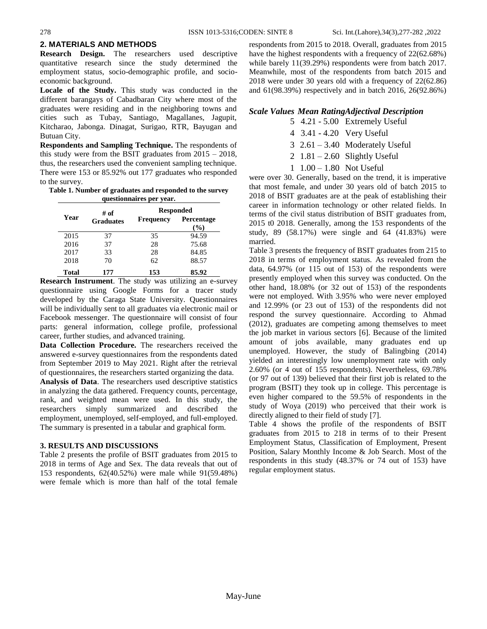### **2. MATERIALS AND METHODS**

**Research Design.** The researchers used descriptive quantitative research since the study determined the employment status, socio-demographic profile, and socioeconomic background.

**Locale of the Study.** This study was conducted in the different barangays of Cabadbaran City where most of the graduates were residing and in the neighboring towns and cities such as Tubay, Santiago, Magallanes, Jagupit, Kitcharao, Jabonga. Dinagat, Surigao, RTR, Bayugan and Butuan City.

**Respondents and Sampling Technique.** The respondents of this study were from the BSIT graduates from  $2015 - 2018$ , thus, the researchers used the convenient sampling technique. There were 153 or 85.92% out 177 graduates who responded to the survey.

**Table 1. Number of graduates and responded to the survey questionnaires per year.**

|       | # of             | <b>Responded</b> |                   |
|-------|------------------|------------------|-------------------|
| Year  | <b>Graduates</b> | <b>Frequency</b> | Percentage<br>(%) |
| 2015  | 37               | 35               | 94.59             |
| 2016  | 37               | 28               | 75.68             |
| 2017  | 33               | 28               | 84.85             |
| 2018  | 70               | 62               | 88.57             |
| Total | 177              | 153              | 85.92             |

**Research Instrument**. The study was utilizing an e-survey questionnaire using Google Forms for a tracer study developed by the Caraga State University. Questionnaires will be individually sent to all graduates via electronic mail or Facebook messenger. The questionnaire will consist of four parts: general information, college profile, professional career, further studies, and advanced training.

**Data Collection Procedure.** The researchers received the answered e-survey questionnaires from the respondents dated from September 2019 to May 2021. Right after the retrieval of questionnaires, the researchers started organizing the data.

**Analysis of Data**. The researchers used descriptive statistics in analyzing the data gathered. Frequency counts, percentage, rank, and weighted mean were used. In this study, the researchers simply summarized and described the employment, unemployed, self-employed, and full-employed. The summary is presented in a tabular and graphical form.

#### **3. RESULTS AND DISCUSSIONS**

Table 2 presents the profile of BSIT graduates from 2015 to 2018 in terms of Age and Sex. The data reveals that out of 153 respondents, 62(40.52%) were male while 91(59.48%) were female which is more than half of the total female

respondents from 2015 to 2018. Overall, graduates from 2015 have the highest respondents with a frequency of 22(62.68%) while barely 11(39.29%) respondents were from batch 2017. Meanwhile, most of the respondents from batch 2015 and 2018 were under 30 years old with a frequency of 22(62.86) and 61(98.39%) respectively and in batch 2016, 26(92.86%)

#### *Scale Values Mean RatingAdjectival Description*

- 5 4.21 5.00 Extremely Useful
- 4 3.41 4.20 Very Useful
- 3 2.61 3.40 Moderately Useful
- 2  $1.81 2.60$  Slightly Useful
- 1 1.00 1.80 Not Useful

were over 30. Generally, based on the trend, it is imperative that most female, and under 30 years old of batch 2015 to 2018 of BSIT graduates are at the peak of establishing their career in information technology or other related fields. In terms of the civil status distribution of BSIT graduates from, 2015 t0 2018. Generally, among the 153 respondents of the study, 89 (58.17%) were single and 64 (41.83%) were married.

Table 3 presents the frequency of BSIT graduates from 215 to 2018 in terms of employment status. As revealed from the data, 64.97% (or 115 out of 153) of the respondents were presently employed when this survey was conducted. On the other hand, 18.08% (or 32 out of 153) of the respondents were not employed. With 3.95% who were never employed and 12.99% (or 23 out of 153) of the respondents did not respond the survey questionnaire. According to Ahmad (2012), graduates are competing among themselves to meet the job market in various sectors [6]. Because of the limited amount of jobs available, many graduates end up unemployed. However, the study of Balingbing (2014) yielded an interestingly low unemployment rate with only 2.60% (or 4 out of 155 respondents). Nevertheless, 69.78% (or 97 out of 139) believed that their first job is related to the program (BSIT) they took up in college. This percentage is even higher compared to the 59.5% of respondents in the study of Woya (2019) who perceived that their work is directly aligned to their field of study [7].

Table 4 shows the profile of the respondents of BSIT graduates from 2015 to 218 in terms of to their Present Employment Status, Classification of Employment, Present Position, Salary Monthly Income & Job Search. Most of the respondents in this study (48.37% or 74 out of 153) have regular employment status.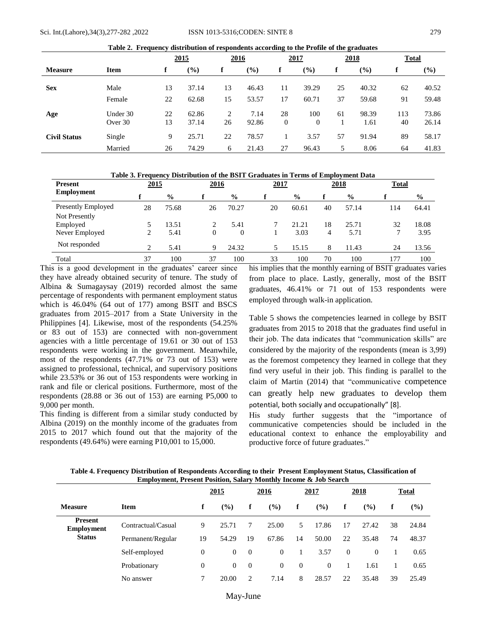| Table 2. Frequency distribution of respondents according to the Profile of the graduates |                     |          |                |             |               |                      |                              |    |               |              |                |
|------------------------------------------------------------------------------------------|---------------------|----------|----------------|-------------|---------------|----------------------|------------------------------|----|---------------|--------------|----------------|
|                                                                                          |                     |          | <u>2015</u>    | <u>2016</u> |               |                      | <u>2017</u>                  |    | <u>2018</u>   | <b>Total</b> |                |
| <b>Measure</b>                                                                           | <b>Item</b>         |          | $(\%)$         | f           | $(\%)$        | f                    | $\left( \frac{9}{0} \right)$ | f  | (%)           | f            | $(\%)$         |
| <b>Sex</b>                                                                               | Male                | 13       | 37.14          | 13          | 46.43         | 11                   | 39.29                        | 25 | 40.32         | 62           | 40.52          |
|                                                                                          | Female              | 22       | 62.68          | 15          | 53.57         | 17                   | 60.71                        | 37 | 59.68         | 91           | 59.48          |
| Age                                                                                      | Under 30<br>Over 30 | 22<br>13 | 62.86<br>37.14 | 2<br>26     | 7.14<br>92.86 | 28<br>$\overline{0}$ | 100<br>$\overline{0}$        | 61 | 98.39<br>1.61 | 113<br>40    | 73.86<br>26.14 |
| <b>Civil Status</b>                                                                      | Single              | 9        | 25.71          | 22          | 78.57         |                      | 3.57                         | 57 | 91.94         | 89           | 58.17          |
|                                                                                          | Married             | 26       | 74.29          | 6           | 21.43         | 27                   | 96.43                        | 5  | 8.06          | 64           | 41.83          |

**Table 2. Frequency distribution of respondents according to the Profile of the graduates**

|  | Table 3. Frequency Distribution of the BSIT Graduates in Terms of Employment Data |  |  |  |
|--|-----------------------------------------------------------------------------------|--|--|--|
|--|-----------------------------------------------------------------------------------|--|--|--|

| <b>Present</b>            | 2015 |               |              | 2016          |    | <u>2017</u>   |    | <u>2018</u>   | <b>Total</b> |               |
|---------------------------|------|---------------|--------------|---------------|----|---------------|----|---------------|--------------|---------------|
| Employment                |      | $\frac{0}{0}$ |              | $\frac{0}{0}$ |    | $\frac{6}{9}$ |    | $\frac{0}{0}$ |              | $\frac{6}{6}$ |
| <b>Presently Employed</b> | 28   | 75.68         | 26           | 70.27         | 20 | 60.61         | 40 | 57.14         | 114          | 64.41         |
| Not Presently             |      |               |              |               |    |               |    |               |              |               |
| Employed                  |      | 13.51         |              | 5.41          |    | 21.21         | 18 | 25.71         | 32           | 18.08         |
| Never Employed            |      | 5.41          | $\mathbf{0}$ | 0             |    | 3.03          | 4  | 5.71          |              | 3.95          |
| Not responded             | ◠    | 5.41          | 9            | 24.32         | 5  | 15.15         | 8  | 11.43         | 24           | 13.56         |
| Total                     | 37   | 100           | 37           | 100           | 33 | 100           | 70 | 100           | 177          | 100           |

This is a good development in the graduates' career since they have already obtained security of tenure. The study of Albina & Sumagaysay (2019) recorded almost the same percentage of respondents with permanent employment status which is 46.04% (64 out of 177) among BSIT and BSCS graduates from 2015–2017 from a State University in the Philippines [4]. Likewise, most of the respondents (54.25% or 83 out of 153) are connected with non-government agencies with a little percentage of 19.61 or 30 out of 153 respondents were working in the government. Meanwhile, most of the respondents (47.71% or 73 out of 153) were assigned to professional, technical, and supervisory positions while 23.53% or 36 out of 153 respondents were working in rank and file or clerical positions. Furthermore, most of the respondents (28.88 or 36 out of 153) are earning P5,000 to 9,000 per month.

This finding is different from a similar study conducted by Albina (2019) on the monthly income of the graduates from 2015 to 2017 which found out that the majority of the respondents (49.64%) were earning P10,001 to 15,000.

his implies that the monthly earning of BSIT graduates varies from place to place. Lastly, generally, most of the BSIT graduates, 46.41% or 71 out of 153 respondents were employed through walk-in application.

Table 5 shows the competencies learned in college by BSIT graduates from 2015 to 2018 that the graduates find useful in their job. The data indicates that "communication skills" are considered by the majority of the respondents (mean is 3,99) as the foremost competency they learned in college that they find very useful in their job. This finding is parallel to the claim of Martin (2014) that "communicative competence can greatly help new graduates to develop them potential, both socially and occupationally" [8].

His study further suggests that the "importance of communicative competencies should be included in the educational context to enhance the employability and productive force of future graduates."

|                                     | енирозники, і гезене і означн, запагу гибініну інстіне се дов всаген |                |                |             |                |                |        |                |        |       |        |  |
|-------------------------------------|----------------------------------------------------------------------|----------------|----------------|-------------|----------------|----------------|--------|----------------|--------|-------|--------|--|
|                                     |                                                                      | 2015           |                | <u>2016</u> |                | 2017           |        | <b>2018</b>    |        | Total |        |  |
| <b>Measure</b>                      | <b>Item</b>                                                          | f              | (%)            | f           | (%)            | f              | $($ %) | f              | $($ %) | f     | $($ %) |  |
| <b>Present</b><br><b>Employment</b> | Contractual/Casual                                                   | 9              | 25.71          | 7           | 25.00          | 5              | 17.86  | 17             | 27.42  | 38    | 24.84  |  |
| <b>Status</b>                       | Permanent/Regular                                                    | 19             | 54.29          | 19          | 67.86          | 14             | 50.00  | 22             | 35.48  | 74    | 48.37  |  |
|                                     | Self-employed                                                        | 0              | $\overline{0}$ | $\theta$    | $\overline{0}$ |                | 3.57   | $\overline{0}$ | 0      |       | 0.65   |  |
|                                     | Probationary                                                         | $\overline{0}$ | $\overline{0}$ | $\theta$    | $\overline{0}$ | $\overline{0}$ | 0      |                | 1.61   |       | 0.65   |  |
|                                     | No answer                                                            | 7              | 20.00          | 2           | 7.14           | 8              | 28.57  | 22             | 35.48  | 39    | 25.49  |  |
|                                     |                                                                      |                |                |             |                |                |        |                |        |       |        |  |

**Table 4. Frequency Distribution of Respondents According to their Present Employment Status, Classification of Employment, Present Position, Salary Monthly Income & Job Search**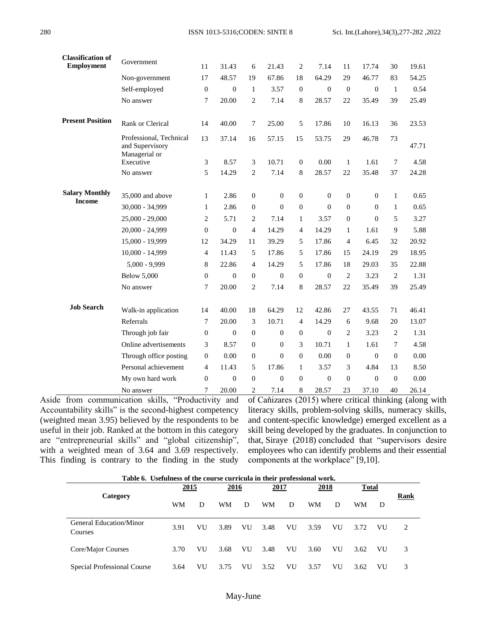| <b>Classification of</b><br><b>Employment</b> | Government                                                  | 11               | 31.43            | 6                | 21.43            | 2              | 7.14             | 11               | 17.74            | 30               | 19.61 |
|-----------------------------------------------|-------------------------------------------------------------|------------------|------------------|------------------|------------------|----------------|------------------|------------------|------------------|------------------|-------|
|                                               | Non-government                                              | 17               | 48.57            | 19               | 67.86            | 18             | 64.29            | 29               | 46.77            | 83               | 54.25 |
|                                               | Self-employed                                               | $\boldsymbol{0}$ | $\boldsymbol{0}$ | $\mathbf{1}$     | 3.57             | $\overline{0}$ | $\boldsymbol{0}$ | $\boldsymbol{0}$ | $\theta$         | $\mathbf{1}$     | 0.54  |
|                                               | No answer                                                   | 7                | 20.00            | $\mathbf{2}$     | 7.14             | 8              | 28.57            | 22               | 35.49            | 39               | 25.49 |
| <b>Present Position</b>                       | Rank or Clerical                                            | 14               | 40.00            | 7                | 25.00            | 5              | 17.86            | 10               | 16.13            | 36               | 23.53 |
|                                               | Professional, Technical<br>and Supervisory<br>Managerial or | 13               | 37.14            | 16               | 57.15            | 15             | 53.75            | 29               | 46.78            | 73               | 47.71 |
|                                               | Executive                                                   | 3                | 8.57             | 3                | 10.71            | $\overline{0}$ | 0.00             | $\mathbf{1}$     | 1.61             | $7\phantom{.0}$  | 4.58  |
|                                               | No answer                                                   | 5                | 14.29            | 2                | 7.14             | 8              | 28.57            | 22               | 35.48            | 37               | 24.28 |
| <b>Salary Monthly</b>                         | 35,000 and above                                            | $\mathbf{1}$     | 2.86             | $\overline{0}$   | $\mathbf{0}$     | $\overline{0}$ | $\boldsymbol{0}$ | $\boldsymbol{0}$ | $\overline{0}$   | $\mathbf{1}$     | 0.65  |
| <b>Income</b>                                 | 30,000 - 34,999                                             | $\mathbf{1}$     | 2.86             | $\Omega$         | $\theta$         | $\theta$       | $\Omega$         | $\mathbf{0}$     | $\overline{0}$   | 1                | 0.65  |
|                                               | $25,000 - 29,000$                                           | $\overline{2}$   | 5.71             | $\overline{c}$   | 7.14             | 1              | 3.57             | $\boldsymbol{0}$ | $\overline{0}$   | 5                | 3.27  |
|                                               | 20,000 - 24,999                                             | $\boldsymbol{0}$ | $\overline{0}$   | 4                | 14.29            | $\overline{4}$ | 14.29            | $\mathbf{1}$     | 1.61             | 9                | 5.88  |
|                                               | 15,000 - 19,999                                             | 12               | 34.29            | 11               | 39.29            | 5              | 17.86            | $\overline{4}$   | 6.45             | 32               | 20.92 |
|                                               | 10,000 - 14,999                                             | $\overline{4}$   | 11.43            | 5                | 17.86            | 5              | 17.86            | 15               | 24.19            | 29               | 18.95 |
|                                               | $5,000 - 9,999$                                             | 8                | 22.86            | $\overline{4}$   | 14.29            | 5              | 17.86            | 18               | 29.03            | 35               | 22.88 |
|                                               | <b>Below 5,000</b>                                          | $\boldsymbol{0}$ | $\boldsymbol{0}$ | $\boldsymbol{0}$ | $\mathbf{0}$     | $\theta$       | $\boldsymbol{0}$ | $\overline{c}$   | 3.23             | $\overline{2}$   | 1.31  |
|                                               | No answer                                                   | 7                | 20.00            | $\overline{c}$   | 7.14             | $\,8\,$        | 28.57            | 22               | 35.49            | 39               | 25.49 |
| <b>Job Search</b>                             | Walk-in application                                         | 14               | 40.00            | 18               | 64.29            | 12             | 42.86            | 27               | 43.55            | 71               | 46.41 |
|                                               | Referrals                                                   | $\overline{7}$   | 20.00            | 3                | 10.71            | $\overline{4}$ | 14.29            | 6                | 9.68             | 20               | 13.07 |
|                                               | Through job fair                                            | $\boldsymbol{0}$ | $\overline{0}$   | $\mathbf{0}$     | $\mathbf{0}$     | $\theta$       | $\mathbf{0}$     | $\overline{c}$   | 3.23             | $\overline{c}$   | 1.31  |
|                                               | Online advertisements                                       | 3                | 8.57             | $\overline{0}$   | $\theta$         | 3              | 10.71            | $\mathbf{1}$     | 1.61             | 7                | 4.58  |
|                                               | Through office posting                                      | $\mathbf{0}$     | 0.00             | $\theta$         | $\boldsymbol{0}$ | $\mathbf{0}$   | 0.00             | $\boldsymbol{0}$ | $\boldsymbol{0}$ | $\boldsymbol{0}$ | 0.00  |
|                                               | Personal achievement                                        | $\overline{4}$   | 11.43            | 5                | 17.86            | 1              | 3.57             | 3                | 4.84             | 13               | 8.50  |
|                                               | My own hard work                                            | $\mathbf{0}$     | $\overline{0}$   | $\mathbf{0}$     | $\overline{0}$   | $\mathbf{0}$   | $\boldsymbol{0}$ | $\boldsymbol{0}$ | $\mathbf{0}$     | $\mathbf{0}$     | 0.00  |
|                                               | No answer                                                   | 7                | 20.00            | 2                | 7.14             | 8              | 28.57            | 23               | 37.10            | 40               | 26.14 |

Aside from communication skills, "Productivity and Accountability skills" is the second-highest competency (weighted mean 3.95) believed by the respondents to be useful in their job. Ranked at the bottom in this category are "entrepreneurial skills" and "global citizenship", with a weighted mean of 3.64 and 3.69 respectively. This finding is contrary to the finding in the study

of [Caňizares \(2015\)](https://www.sciencedirect.com/science/article/pii/S2590291120300449#bib5) where critical thinking (along with literacy skills, problem-solving skills, numeracy skills, and content-specific knowledge) emerged excellent as a skill being developed by the graduates. In conjunction to that, [Siraye \(2018\)](https://www.sciencedirect.com/science/article/pii/S2590291120300449#bib14) concluded that "supervisors desire employees who can identify problems and their essential components at the workplace" [9,10].

| Table 6. Usefulness of the course curricula in their professional work. |             |    |      |    |             |    |             |    |              |    |      |
|-------------------------------------------------------------------------|-------------|----|------|----|-------------|----|-------------|----|--------------|----|------|
|                                                                         | <u>2015</u> |    | 2016 |    | <u>2017</u> |    | <u>2018</u> |    | <u>Total</u> |    |      |
| Category                                                                | WM          | D  | WM   | D  | WM          | D  | WM          | D  | WM           | D  | Rank |
| General Education/Minor<br><b>Courses</b>                               | 3.91        | VU | 3.89 | VU | 3.48        | VU | 3.59        | VU | 3.72         | VU | 2    |
| Core/Major Courses                                                      | 3.70        | VU | 3.68 | VU | 3.48        | VU | 3.60        | VU | 3.62         | VU | 3    |
| Special Professional Course                                             | 3.64        | VU | 3.75 | VU | 3.52        | VU | 3.57        | VU | 3.62         | VU | 3    |

**Classification of**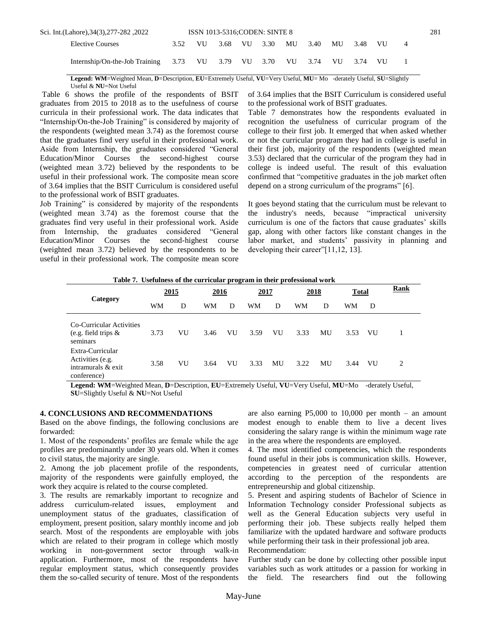| 2022, 282–277-282, Sci. Int.(Lahore), 34(3), 277-282                   |      |      | <b>ISSN 1013-5316;CODEN: SINTE 8</b> |  |         |    |         |   | 281 |
|------------------------------------------------------------------------|------|------|--------------------------------------|--|---------|----|---------|---|-----|
| <b>Elective Courses</b>                                                | 3.52 | VU — | 3.68 VU 3.30                         |  | MU 3.40 | MU | 3.48 VU | 4 |     |
| Internship/On-the-Job Training 3.73 VU 3.79 VU 3.70 VU 3.74 VU 3.74 VU |      |      |                                      |  |         |    |         |   |     |

**Legend: WM**=Weighted Mean, **D**=Description, **EU**=Extremely Useful, **VU**=Very Useful, **MU**= Mo -derately Useful, **SU**=Slightly Useful & **NU**=Not Useful

Table 6 shows the profile of the respondents of BSIT graduates from 2015 to 2018 as to the usefulness of course curricula in their professional work. The data indicates that "Internship/On-the-Job Training" is considered by majority of the respondents (weighted mean 3.74) as the foremost course that the graduates find very useful in their professional work. Aside from Internship, the graduates considered "General Education/Minor Courses the second-highest course (weighted mean 3.72) believed by the respondents to be useful in their professional work. The composite mean score of 3.64 implies that the BSIT Curriculum is considered useful to the professional work of BSIT graduates.

Job Training" is considered by majority of the respondents (weighted mean 3.74) as the foremost course that the graduates find very useful in their professional work. Aside from Internship, the graduates considered "General Education/Minor Courses the second-highest course (weighted mean 3.72) believed by the respondents to be useful in their professional work. The composite mean score

of 3.64 implies that the BSIT Curriculum is considered useful to the professional work of BSIT graduates.

Table 7 demonstrates how the respondents evaluated in recognition the usefulness of curricular program of the college to their first job. It emerged that when asked whether or not the curricular program they had in college is useful in their first job, majority of the respondents (weighted mean 3.53) declared that the curricular of the program they had in college is indeed useful. The result of this evaluation confirmed that "competitive graduates in the job market often depend on a strong curriculum of the programs" [6].

It goes beyond stating that the curriculum must be relevant to the industry's needs, because "impractical university curriculum is one of the factors that cause graduates' skills gap, along with other factors like constant changes in the labor market, and students' passivity in planning and developing their career"[11,12, 13].

| Table 7. Usefulness of the curricular program in their professional work |
|--------------------------------------------------------------------------|
|--------------------------------------------------------------------------|

| Category                                                                  | 2015 |    | 2016 |    | 2017 |    | 2018 |    | <b>Total</b> |    | Rank                        |
|---------------------------------------------------------------------------|------|----|------|----|------|----|------|----|--------------|----|-----------------------------|
|                                                                           | WM   | D  | WM   | D  | WМ   | D  | WM   | D  | WM           | D  |                             |
| Co-Curricular Activities<br>(e.g. field trips $\&$<br>seminars            | 3.73 | VU | 3.46 | VU | 3.59 | VU | 3.33 | MU | 3.53         | VU |                             |
| Extra-Curricular<br>Activities (e.g.<br>intramurals & exit<br>conference) | 3.58 | VU | 3.64 | VU | 3.33 | MU | 3.22 | MU | 3.44         | VU | $\mathcal{D}_{\mathcal{L}}$ |

**Legend: WM**=Weighted Mean, **D**=Description, **EU**=Extremely Useful, **VU**=Very Useful, **MU**=Mo -derately Useful, **SU**=Slightly Useful & **NU**=Not Useful

#### **4. CONCLUSIONS AND RECOMMENDATIONS**

Based on the above findings, the following conclusions are forwarded:

1. Most of the respondents' profiles are female while the age profiles are predominantly under 30 years old. When it comes to civil status, the majority are single.

2. Among the job placement profile of the respondents, majority of the respondents were gainfully employed, the work they acquire is related to the course completed.

3. The results are remarkably important to recognize and address curriculum-related issues, employment and unemployment status of the graduates, classification of employment, present position, salary monthly income and job search. Most of the respondents are employable with jobs which are related to their program in college which mostly working in non-government sector through walk-in application. Furthermore, most of the respondents have regular employment status, which consequently provides them the so-called security of tenure. Most of the respondents

are also earning  $P5,000$  to 10,000 per month – an amount modest enough to enable them to live a decent lives considering the salary range is within the minimum wage rate in the area where the respondents are employed.

4. The most identified competencies, which the respondents found useful in their jobs is communication skills. However, competencies in greatest need of curricular attention according to the perception of the respondents are entrepreneurship and global citizenship.

5. Present and aspiring students of Bachelor of Science in Information Technology consider Professional subjects as well as the General Education subjects very useful in performing their job. These subjects really helped them familiarize with the updated hardware and software products while performing their task in their professional job area. Recommendation:

Further study can be done by collecting other possible input variables such as work attitudes or a passion for working in the field. The researchers find out the following